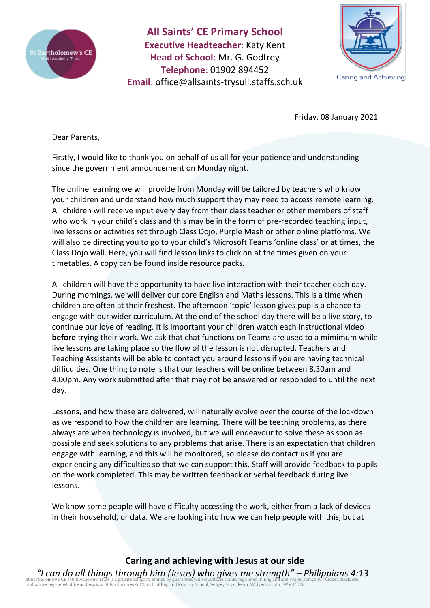

**All Saints' CE Primary School Executive Headteacher**: Katy Kent **Head of School**: Mr. G. Godfrey **Telephone**: 01902 894452 **Email**: [office@allsaints-trysull.staffs.sch.uk](mailto:office@allsaints-trysull.staffs.sch.uk)



Friday, 08 January 2021

Dear Parents,

Firstly, I would like to thank you on behalf of us all for your patience and understanding since the government announcement on Monday night.

The online learning we will provide from Monday will be tailored by teachers who know your children and understand how much support they may need to access remote learning. All children will receive input every day from their class teacher or other members of staff who work in your child's class and this may be in the form of pre-recorded teaching input, live lessons or activities set through Class Dojo, Purple Mash or other online platforms. We will also be directing you to go to your child's Microsoft Teams 'online class' or at times, the Class Dojo wall. Here, you will find lesson links to click on at the times given on your timetables. A copy can be found inside resource packs.

All children will have the opportunity to have live interaction with their teacher each day. During mornings, we will deliver our core English and Maths lessons. This is a time when children are often at their freshest. The afternoon 'topic' lesson gives pupils a chance to engage with our wider curriculum. At the end of the school day there will be a live story, to continue our love of reading. It is important your children watch each instructional video **before** trying their work. We ask that chat functions on Teams are used to a mimimum while live lessons are taking place so the flow of the lesson is not disrupted. Teachers and Teaching Assistants will be able to contact you around lessons if you are having technical difficulties. One thing to note is that our teachers will be online between 8.30am and 4.00pm. Any work submitted after that may not be answered or responded to until the next day.

Lessons, and how these are delivered, will naturally evolve over the course of the lockdown as we respond to how the children are learning. There will be teething problems, as there always are when technology is involved, but we will endeavour to solve these as soon as possible and seek solutions to any problems that arise. There is an expectation that children engage with learning, and this will be monitored, so please do contact us if you are experiencing any difficulties so that we can support this. Staff will provide feedback to pupils on the work completed. This may be written feedback or verbal feedback during live lessons.

We know some people will have difficulty accessing the work, either from a lack of devices in their household, or data. We are looking into how we can help people with this, but at

**Caring and achieving with Jesus at our side**

*"I can do all things through him (Jesus) who gives me strength" – Philippians 4:13* of a discovering of the discovering in the product of England Primary School, Sedgley Road, Penn, Wolverhampton WV4 5LG.<br>and whose registered office address is at St Bartholomew's Church of England Primary School, Sedgley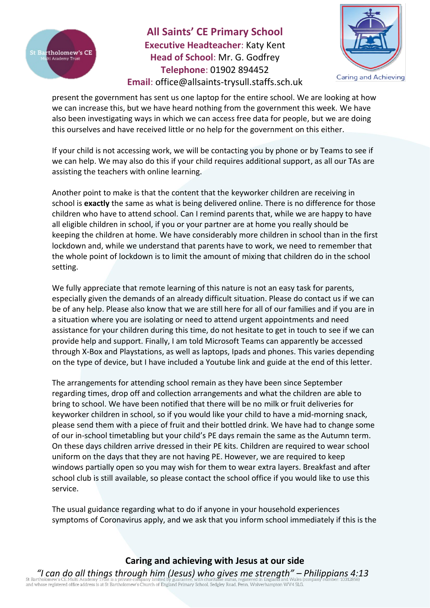

**All Saints' CE Primary School Executive Headteacher**: Katy Kent **Head of School**: Mr. G. Godfrey **Telephone**: 01902 894452 **Email**: [office@allsaints-trysull.staffs.sch.uk](mailto:office@allsaints-trysull.staffs.sch.uk)



present the government has sent us one laptop for the entire school. We are looking at how we can increase this, but we have heard nothing from the government this week. We have also been investigating ways in which we can access free data for people, but we are doing this ourselves and have received little or no help for the government on this either.

If your child is not accessing work, we will be contacting you by phone or by Teams to see if we can help. We may also do this if your child requires additional support, as all our TAs are assisting the teachers with online learning.

Another point to make is that the content that the keyworker children are receiving in school is **exactly** the same as what is being delivered online. There is no difference for those children who have to attend school. Can I remind parents that, while we are happy to have all eligible children in school, if you or your partner are at home you really should be keeping the children at home. We have considerably more children in school than in the first lockdown and, while we understand that parents have to work, we need to remember that the whole point of lockdown is to limit the amount of mixing that children do in the school setting.

We fully appreciate that remote learning of this nature is not an easy task for parents, especially given the demands of an already difficult situation. Please do contact us if we can be of any help. Please also know that we are still here for all of our families and if you are in a situation where you are isolating or need to attend urgent appointments and need assistance for your children during this time, do not hesitate to get in touch to see if we can provide help and support. Finally, I am told Microsoft Teams can apparently be accessed through X-Box and Playstations, as well as laptops, Ipads and phones. This varies depending on the type of device, but I have included a Youtube link and guide at the end of this letter.

The arrangements for attending school remain as they have been since September regarding times, drop off and collection arrangements and what the children are able to bring to school. We have been notified that there will be no milk or fruit deliveries for keyworker children in school, so if you would like your child to have a mid-morning snack, please send them with a piece of fruit and their bottled drink. We have had to change some of our in-school timetabling but your child's PE days remain the same as the Autumn term. On these days children arrive dressed in their PE kits. Children are required to wear school uniform on the days that they are not having PE. However, we are required to keep windows partially open so you may wish for them to wear extra layers. Breakfast and after school club is still available, so please contact the school office if you would like to use this service.

The usual guidance regarding what to do if anyone in your household experiences symptoms of Coronavirus apply, and we ask that you inform school immediately if this is the

**Caring and achieving with Jesus at our side**

*"I can do all things through him (Jesus) who gives me strength" – Philippians 4:13* of a discovering of the discovering in the product of England Primary School, Sedgley Road, Penn, Wolverhampton WV4 5LG.<br>and whose registered office address is at St Bartholomew's Church of England Primary School, Sedgley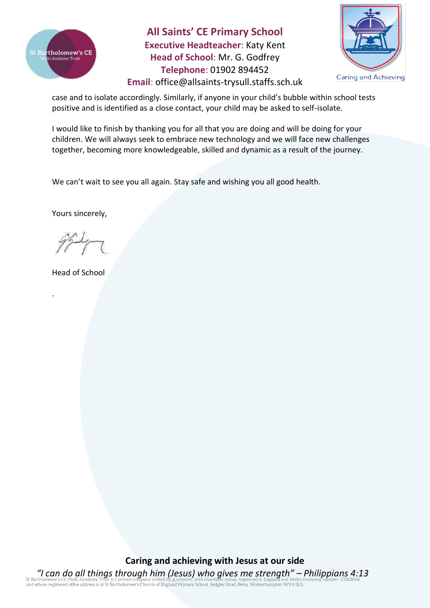

**All Saints' CE Primary School Executive Headteacher**: Katy Kent **Head of School**: Mr. G. Godfrey **Telephone**: 01902 894452



**Email**: [office@allsaints-trysull.staffs.sch.uk](mailto:office@allsaints-trysull.staffs.sch.uk)

case and to isolate accordingly. Similarly, if anyone in your child's bubble within school tests positive and is identified as a close contact, your child may be asked to self-isolate.

I would like to finish by thanking you for all that you are doing and will be doing for your children. We will always seek to embrace new technology and we will face new challenges together, becoming more knowledgeable, skilled and dynamic as a result of the journey.

We can't wait to see you all again. Stay safe and wishing you all good health.

Yours sincerely,

Head of School

.

**Caring and achieving with Jesus at our side**

*"I can do all things through him (Jesus) who gives me strength" – Philippians 4:13* or Bartholomew s CE Putul Academy Trust is a private company minical or guaranteer, will contribute status, registered office address is at St Bartholomew's Church of England Primary School, Sedgley Road, Penn, Wolverhampt